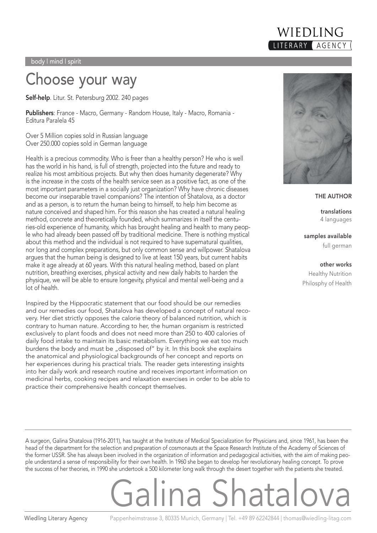

#### Choose your way

**Self-help**. Litur. St. Petersburg 2002. 240 pages

**Publishers**: France - Macro, Germany - Random House, Italy - Macro, Romania - Editura Paralela 45

Over 5 Million copies sold in Russian language Over 250.000 copies sold in German language

Health is a precious commodity. Who is freer than a healthy person? He who is well has the world in his hand, is full of strength, projected into the future and ready to realize his most ambitious projects. But why then does humanity degenerate? Why is the increase in the costs of the health service seen as a positive fact, as one of the most important parameters in a socially just organization? Why have chronic diseases become our inseparable travel companions? The intention of Shatalova, as a doctor and as a person, is to return the human being to himself, to help him become as nature conceived and shaped him. For this reason she has created a natural healing method, concrete and theoretically founded, which summarizes in itself the centuries-old experience of humanity, which has brought healing and health to many people who had already been passed off by traditional medicine. There is nothing mystical about this method and the individual is not required to have supernatural qualities, nor long and complex preparations, but only common sense and willpower. Shatalova argues that the human being is designed to live at least 150 years, but current habits make it age already at 60 years. With this natural healing method, based on plant nutrition, breathing exercises, physical activity and new daily habits to harden the physique, we will be able to ensure longevity, physical and mental well-being and a lot of health.

Inspired by the Hippocratic statement that our food should be our remedies and our remedies our food, Shatalova has developed a concept of natural recovery. Her diet strictly opposes the calorie theory of balanced nutrition, which is contrary to human nature. According to her, the human organism is restricted exclusively to plant foods and does not need more than 250 to 400 calories of daily food intake to maintain its basic metabolism. Everything we eat too much burdens the body and must be "disposed of" by it. In this book she explains the anatomical and physiological backgrounds of her concept and reports on her experiences during his practical trials. The reader gets interesting insights into her daily work and research routine and receives important information on medicinal herbs, cooking recipes and relaxation exercises in order to be able to practice their comprehensive health concept themselves.



**THE AUTHOR**

**translations** 4 languages

**samples available** full german

**other works** Healthy Nutrition Philosphy of Health

A surgeon, Galina Shatalova (1916-2011), has taught at the Institute of Medical Specialization for Physicians and, since 1961, has been the head of the department for the selection and preparation of cosmonauts at the Space Research Institute of the Academy of Sciences of the former USSR. She has always been involved in the organization of information and pedagogical activities, with the aim of making people understand a sense of responsibility for their own health. In 1960 she began to develop her revolutionary healing concept. To prove the success of her theories, in 1990 she undertook a 500 kilometer long walk through the desert together with the patients she treated.

## Galina Shatalova